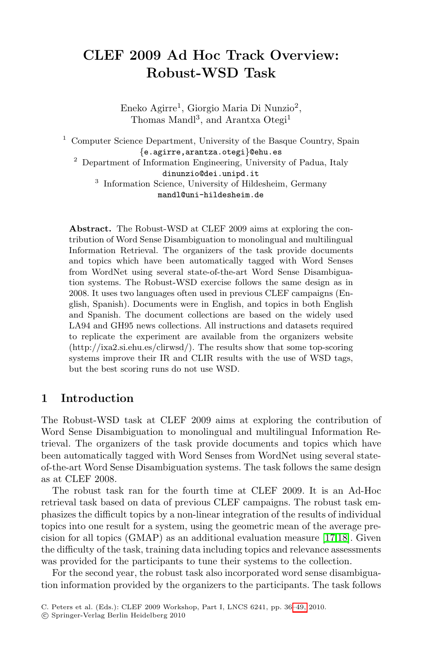# **CLEF 2009 Ad Hoc Track Overview: Robust-WSD Task**

Eneko Agirre<sup>1</sup>, Giorgio Maria Di Nunzio<sup>2</sup>. Thomas Mandl<sup>3</sup>, and Arantxa Otegi<sup>1</sup>

 $^{\rm 1}$  Computer Science Department, University of the Basque Country, Spain *{*e.agirre,arantza.otegi*}*@ehu.es <sup>2</sup> Department of Information Engineering, University of Padua, Italy

dinunzio@dei.unipd.it

<sup>3</sup> Information Science, University of Hildesheim, Germany mandl@uni-hildesheim.de

**Abstract.** The Robust-WSD at CLEF 2009 aims at exploring the contribution of Word Sense Disambiguation to monolingual and multilingual Information Retrieval. The organizers of the task provide documents and topics which have been automatically tagged with Word Senses from WordNet using several state-of-the-art Word Sense Disambiguation systems. The Robust-WSD exercise follows the same design as in 2008. It uses two languages often used in previous CLEF campaigns (English, Spanish). Documents were in English, and topics in both English and Spanish. The document collections are based on the widely used LA94 and GH95 news collections. All instructions and datasets required to replicate the experiment are available from the organizers website (http://ixa2.si.ehu.es/clirwsd/). The results show that some top-scoring systems improve their IR and CLIR results with the use of WSD tags, but the best scoring runs do not use WSD.

## **1 Introduction**

The Robust-WSD task at CLEF 2009 aims at exploring the contribution of Word Sense Disambiguation to monolingual and multilingual Information Retrieval. The organizers of the task provide do[cu](#page-13-0)[men](#page-13-1)ts and topics which have been automatically tagged with Word Senses from WordNet using several stateof-the-art Word Sense Disambiguation systems. The task follows the same design as at CLEF 2008.

The robust task ran for the fourth time at CLEF 2009. It is an Ad-Hoc retrieval task based on data of previous CLEF campaigns. The robust task emphasizes the difficult topics by a non-line[ar in](#page-13-2)tegration of the results of individual topics into one result for a system, using the geometric mean of the average precision for all topics (GMAP) as an additional evaluation measure [17,18]. Given the difficulty of the task, training data including topics and relevance assessments was provided for the participants to tune their systems to the collection.

For the second year, the robust task also incorporated word sense disambiguation information provided by the organizers to the participants. The task follows

C. Peters et al. (Eds.): CLEF 2009 Workshop, Part I, LNCS 6241, pp. 36–49, 2010.

<sup>-</sup>c Springer-Verlag Berlin Heidelberg 2010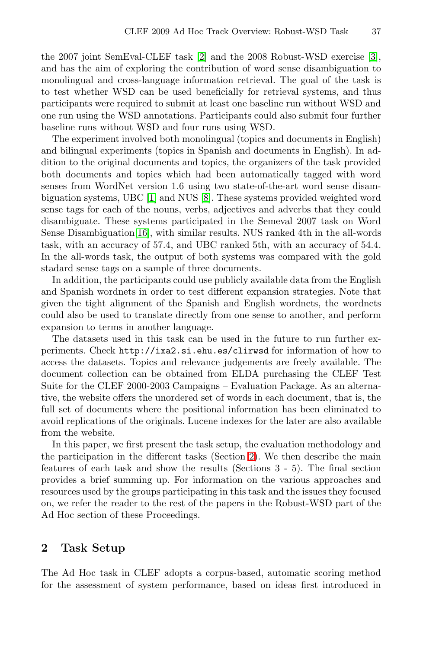the 2007 joint SemEval-CLEF task [2] and the 2008 Robust-WSD exercise [3], and has the aim of exploring the contribution of word sense disambiguation to monolingual and cross-language information retrieval. The goal of the task is to test whether WSD can be used beneficially for retrieval systems, and thus partic[ip](#page-12-0)ants were r[eq](#page-12-1)uired to submit at least one baseline run without WSD and one run using the WSD annotations. Participants could also submit four further baseline runs without WSD and four runs using WSD.

[The](#page-13-3) experiment involved both monolingual (topics and documents in English) and bilingual experiments (topics in Spanish and documents in English). In addition to the original documents and topics, the organizers of the task provided both documents and topics which had been automatically tagged with word senses from WordNet version 1.6 using two state-of-the-art word sense disambiguation systems, UBC [1] and NUS [8]. These systems provided weighted word sense tags for each of the nouns, verbs, adjectives and adverbs that they could disambiguate. These systems participated in the Semeval 2007 task on Word Sense Disambiguation[16], with similar results. NUS ranked 4th in the all-words task, with an accuracy of 57.4, and UBC ranked 5th, with an accuracy of 54.4. In the all-words task, the output of both systems was compared with the gold stadard sense tags on a sample of three documents.

In addition, the participants could use publicly available data from the English and Spanish wordnets in order to test different expansion strategies. Note that given the tight alignment of the Spanish and English wordnets, the wordnets could also be used to translate directly from one sense to another, and perform expansion to terms in another language.

The datasets used in this task can be used in the future to run further experiments. Check http://ixa2.si.ehu.es/clirwsd for information of how to access the datasets. Topics a[nd](#page-1-0) relevance judgements are freely available. The document collection can be obtained from ELDA purchasing the CLEF Test Suite for the CLEF 2000-2003 Campaigns – Evaluation Package. As an alternative, the website offers the unordered set of words in each document, that is, the full set of documents where the positional information has been eliminated to avoid replications of the originals. Lucene indexes for the later are also available from the website.

<span id="page-1-0"></span>In this paper, we first present the task setup, the evaluation methodology and the participation in the different tasks (Section 2). We then describe the main features of each task and show the results (Sections 3 - 5). The final section provides a brief summing up. For information on the various approaches and resources used by the groups participating in this task and the issues they focused on, we refer the reader to the rest of the papers in the Robust-WSD part of the Ad Hoc section of these Proceedings.

## **2 Task Setup**

The Ad Hoc task in CLEF adopts a corpus-based, automatic scoring method for the assessment of system performance, based on ideas first introduced in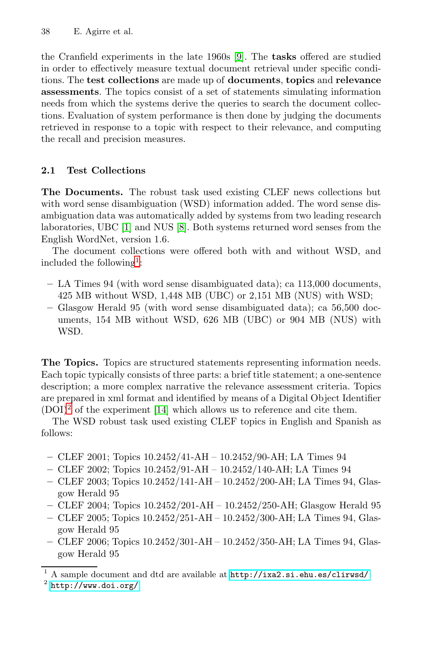the Cranfield experiments in the late 1960s [9]. The **tasks** offered are studied in order to effectively measure textual document retrieval under specific conditions. The **test collections** are made up of **documents**, **topics** and **relevance assessments**. The topics consist of a set of statements simulating information needs from which the systems derive the queries to search the document collections. Evaluation of system performance is then done by judging the documents retrieved in response to a topic with respect to their relevance, and computing [th](#page-12-0)e recall an[d](#page-12-1) [p](#page-12-1)recision measures.

#### **2.[1](#page-2-0) Test Collections**

**The Documents.** The robust task used existing CLEF news collections but with word sense disambiguation (WSD) information added. The word sense disambiguation data was automatically added by systems from two leading research laboratories, UBC [1] and NUS [8]. Both systems returned word senses from the English WordNet, version 1.6.

The document collections were offered both with and without WSD, and included the following<sup>1</sup>:

- **–** LA Times 94 (with word sense disambiguated data); ca 113,000 documents, 425 MB without WSD, 1,448 MB (UBC) or 2,151 MB (NUS) with WSD;
- **–** Glasgow Herald 95 (with word sense disambiguated data); ca 56,500 docum[ents](#page-13-4), 154 MB without WSD, 626 MB (UBC) or 904 MB (NUS) with WSD.

**The Topics.** Topics are structured statements representing information needs. Each topic typically consists of three parts: a brief title statement; a one-sentence description; a more complex narrative the relevance assessment criteria. Topics are prepared in xml format and identified by means of a Digital Object Identifier  $(DOI)<sup>2</sup>$  of the experiment [14] which allows us to reference and cite them.

The WSD robust task used existing CLEF topics in English and Spanish as follows:

- **–** CLEF 2001; Topics 10.2452/41-AH 10.2452/90-AH; LA Times 94
- **–** CLEF 2002; Topics 10.2452/91-AH 10.2452/140-AH; LA Times 94
- **–** CLEF 2003; Topics 1[0.2452/141-AH 10.2452/200-AH](http://ixa2.si.ehu.es/clirwsd/); LA Times 94, Glas[g](http://www.doi.org/)ow Herald 95
- <span id="page-2-0"></span>**–** CLEF 2004; Topics 10.2452/201-AH – 10.2452/250-AH; Glasgow Herald 95
- **–** CLEF 2005; Topics 10.2452/251-AH 10.2452/300-AH; LA Times 94, Glasgow Herald 95
- **–** CLEF 2006; Topics 10.2452/301-AH 10.2452/350-AH; LA Times 94, Glasgow Herald 95

<sup>1</sup> A sample document and dtd are available at http://ixa2.si.ehu.es/clirwsd/  $<sup>2</sup>$  http://www.doi.org/</sup>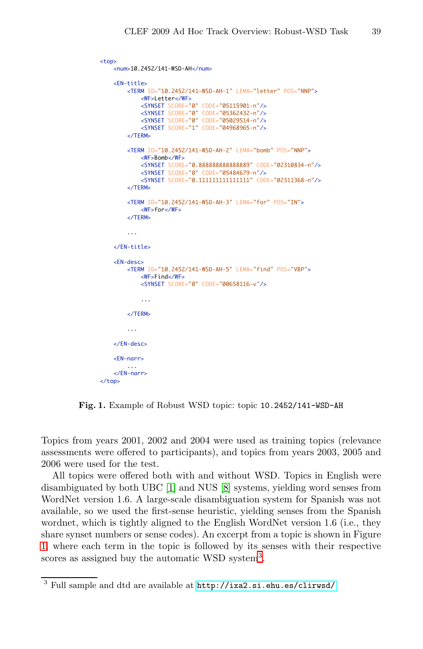```
<top>
     <num>10.2452/141-WSD-AH</num>
     <EN-title>
          <TERM ID="10.2452/141-WSD-AH-1" LEMA="letter" POS="NNP">
               <WF>Letter</WF>
               <SYNSET SCORE="0" CODE="05115901-n"/>
               <SYNSET SCORE="0" CODE="05362432-n"/>
<SYNSET SCORE="0" CODE="05029514-n"/>
               <SYNSET SCORE="1" CODE="04968965-n"/>
          Z/TERM\sim<TERM ID="10.2452/141-WSD-AH-2" LEMA="bomb" POS="NNP">
               <WF>Bomb</WF>
               <SYNSET SCORE="0.888888888888889" CODE="02310834-n"/>
<SYNSET SCORE="0" CODE="05484679-n"/>
<SYNSET SCORE="0.111111111111111" CODE="02311368-n"/>
          Z/TERM\sim<TERM ID="10.2452/141-WSD-AH-3" LEMA="for" POS="IN">
               <WF>for</WF>
          </TERM>
           ... 
     </EN-title>
     <EN-desc>
          <TERM ID="10.2452/141-WSD-AH-5" LEMA="find" POS="VBP">
               <WF>Find</WF>
               <SYNSET SCORE="0" CODE="00658116-v"/>
               ... 
          </TERM>
           ... 
     </EN-desc>
     <EN-narr>
  ... 
</EN-narr>
2/tons
```
**Fig. 1.** Example of Robust WSD topic: topic 10.2452/141-WSD-AH

Topics from years 2001, 2002 and 2004 were used as training topics (relevance assessments were offered to participants), and topics from years 2003, 2005 and 2006 were used for the test.

<span id="page-3-0"></span>All topics were offered both [w](#page-3-0)ith and without WSD. Topics in English were disambiguated by both UBC [1] and NUS [8] systems, yielding word senses from WordNet version [1.6.](http://ixa2.si.ehu.es/clirwsd/) [A](http://ixa2.si.ehu.es/clirwsd/) [large-scale](http://ixa2.si.ehu.es/clirwsd/) [disambiguation](http://ixa2.si.ehu.es/clirwsd/) system for Spanish was not available, so we used the first-sense heuristic, yielding senses from the Spanish wordnet, which is tightly aligned to the English WordNet version 1.6 (i.e., they share synset numbers or sense codes). An excerpt from a topic is shown in Figure 1, where each term in the topic is followed by its senses with their respective scores as assigned buy the automatic WSD system<sup>3</sup>.

 $\frac{3 \text{ Full sample and dtd are available at <http://ixa2.si.ehu.es/clirwsd/>$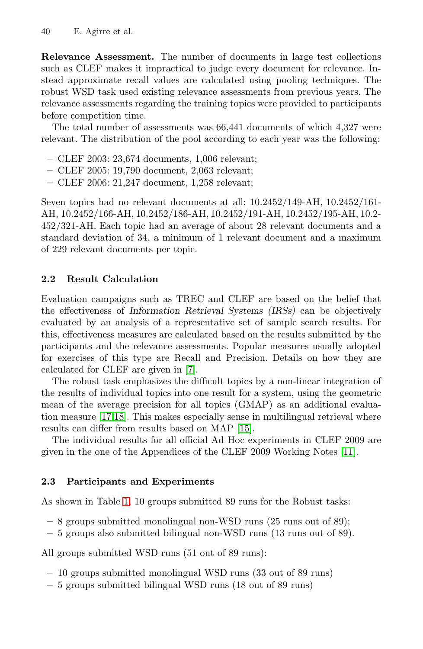**Relevance Assessment.** The number of documents in large test collections such as CLEF makes it impractical to judge every document for relevance. Instead approximate recall values are calculated using pooling techniques. The robust WSD task used existing relevance assessments from previous years. The relevance assessments regarding the training topics were provided to participants before competition time.

The total number of assessments was 66,441 documents of which 4,327 were relevant. The distribution of the pool according to each year was the following:

- **–** CLEF 2003: 23,674 documents, 1,006 relevant;
- **–** CLEF 2005: 19,790 document, 2,063 relevant;
- **–** CLEF 2006: 21,247 document, 1,258 relevant;

Seven topics had no relevant documents at all: 10.2452/149-AH, 10.2452/161- AH, 10.2452/166-AH, 10.2452/186-AH, 10.2452/191-AH, 10.2452/195-AH, 10.2- 452/321-AH. Each topic had an average of about 28 relevant documents and a standard deviation of 34, a minimum of 1 relevant document and a maximum of 229 relevant documents per topic.

#### **2.2 Result [Ca](#page-12-2)lculation**

Evaluation campaigns such as TREC and CLEF are based on the belief that the effectiveness of *Information Retrieval Systems (IRSs)* can be objectively [e](#page-13-1)valuated by an analysis of a representative set of sample search results. For this, effectiveness measures [are](#page-13-5) calculated based on the results submitted by the participants and the relevance assessments. Popular measures usually adopted for exercises of this type are Recall and Precisio[n. D](#page-12-3)etails on how they are calculated for CLEF are given in [7].

The robust task emphasizes the difficult topics by a non-linear integration of the results of individual topics into one result for a system, using the geometric [m](#page-5-0)ean of the average precision for all topics (GMAP) as an additional evaluation measure [17,18]. This makes especially sense in multilingual retrieval where results can differ from results based on MAP [15].

The individual results for all official Ad Hoc experiments in CLEF 2009 are given in the one of the Appendices of the CLEF 2009 Working Notes [11].

#### **2.3 Participants and Experiments**

As shown in Table 1, 10 groups submitted 89 runs for the Robust tasks:

- **–** 8 groups submitted monolingual non-WSD runs (25 runs out of 89);
- **–** 5 groups also submitted bilingual non-WSD runs (13 runs out of 89).

All groups submitted WSD runs (51 out of 89 runs):

- **–** 10 groups submitted monolingual WSD runs (33 out of 89 runs)
- **–** 5 groups submitted bilingual WSD runs (18 out of 89 runs)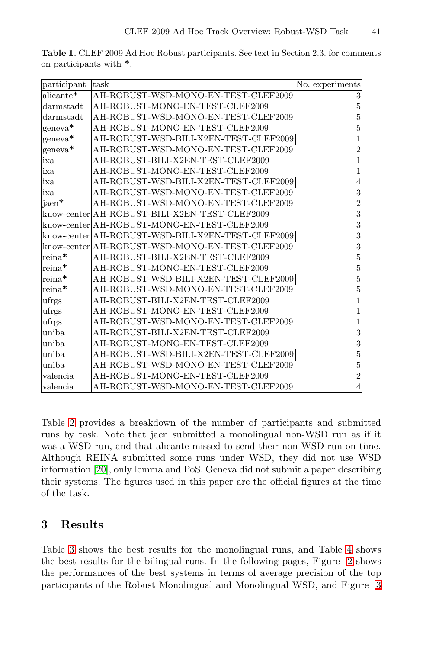<span id="page-5-0"></span>**Table 1.** CLEF 2009 Ad Hoc Robust participants. See text in Section 2.3. for comments on participants with **\***.

| participant         | task                                              | No. experiments |
|---------------------|---------------------------------------------------|-----------------|
| alicante*           | AH-ROBUST-WSD-MONO-EN-TEST-CLEF2009               | 3               |
| darmstadt           | AH-ROBUST-MONO-EN-TEST-CLEF2009                   | $\overline{5}$  |
| darmstadt           | AH-ROBUST-WSD-MONO-EN-TEST-CLEF2009               | $\overline{5}$  |
| $geneva*$           | AH-ROBUST-MONO-EN-TEST-CLEF2009                   | 5               |
| geneva <sup>*</sup> | AH-ROBUST-WSD-BILI-X2EN-TEST-CLEF2009             |                 |
| geneva*             | AH-ROBUST-WSD-MONO-EN-TEST-CLEF2009               | $\overline{2}$  |
| ixa                 | AH-ROBUST-BILI-X2EN-TEST-CLEF2009                 |                 |
| ixa                 | AH-ROBUST-MONO-EN-TEST-CLEF2009                   |                 |
| ixa                 | AH-ROBUST-WSD-BILI-X2EN-TEST-CLEF2009             | 4               |
| ixa                 | AH-ROBUST-WSD-MONO-EN-TEST-CLEF2009               | 3               |
| jaen*               | AH-ROBUST-WSD-MONO-EN-TEST-CLEF2009               | $\overline{2}$  |
|                     | know-center AH-ROBUST-BILI-X2EN-TEST-CLEF2009     | 3               |
|                     | know-center AH-ROBUST-MONO-EN-TEST-CLEF2009       | 3               |
|                     | know-center AH-ROBUST-WSD-BILI-X2EN-TEST-CLEF2009 | 3               |
|                     | know-center AH-ROBUST-WSD-MONO-EN-TEST-CLEF2009   | 3               |
| reina*              | AH-ROBUST-BILI-X2EN-TEST-CLEF2009                 | $\overline{5}$  |
| $reina*$            | AH-ROBUST-MONO-EN-TEST-CLEF2009                   | $\overline{5}$  |
| $reina*$            | AH-ROBUST-WSD-BILI-X2EN-TEST-CLEF2009             | 5               |
| $reina*$            | AH-ROBUST-WSD-MONO-EN-TEST-CLEF2009               | 5               |
| ufrgs               | AH-ROBUST-BILI-X2EN-TEST-CLEF2009                 |                 |
| ufrgs               | AH-ROBUST-MONO-EN-TEST-CLEF2009                   |                 |
| ufrgs               | AH-ROBUST-WSD-MONO-EN-TEST-CLEF2009               | 1               |
| uniba               | AH-ROBUST-BILI-X2EN-TEST-CLEF2009                 | 3               |
| uniba               | AH-ROBUST-MONO-EN-TEST-CLEF2009                   | 3               |
| uniba               | AH-ROBUST-WSD-BILI-X2EN-TEST-CLEF2009             | $\overline{5}$  |
| uniba               | AH-ROBUST-WSD-MONO-EN-TEST-CLEF2009               | $\overline{5}$  |
| valencia            | AH-ROBUST-MONO-EN-TEST-CLEF2009                   | 2               |
| valencia            | AH-ROBUST-WSD-MONO-EN-TEST-CLEF2009               |                 |

Table 2 provides a breakdown of the number of participants and submitted runs by task. Note that jaen submitted a monolingual non-WSD run as if it was a WSD run, and that alicante missed to send their non-WSD run on time. Although REINA submitted some runs under WS[D,](#page-6-0) they did not use WSD information [20], only lemma and PoS. Geneva did n[ot](#page-7-0) submit a paper describing their systems. The figures used in this paper are the official figures at the time of the task.

#### **3 Results**

Table 3 shows the best results for the monolingual runs, and Table 4 shows the best results for the bilingual runs. In the following pages, Figure 2 shows the performances of the best systems in terms of average precision of the top participants of the Robust Monolingual and Monolingual WSD, and Figure 3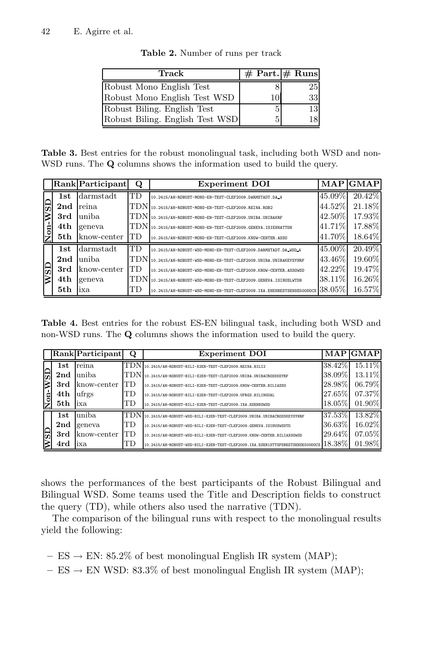| Track                           | # Part. $#$ Runs |     |
|---------------------------------|------------------|-----|
| Robust Mono English Test        |                  | 25  |
| Robust Mono English Test WSD    | 10               | 331 |
| Robust Biling. English Test     |                  | 131 |
| Robust Biling. English Test WSD | 5                | 18  |

**Table 2.** Number of runs per track

<span id="page-6-1"></span>**Table 3.** Best entries for the robust monolingual task, including both WSD and non-WSD runs. The **Q** columns shows the information used to build the query.

|                          |                 | Rank Participant | Q         | <b>Experiment DOI</b>                                                                      | <b>MAP</b> | GMAP      |
|--------------------------|-----------------|------------------|-----------|--------------------------------------------------------------------------------------------|------------|-----------|
| Œ                        | 1st.            | darmstadt        | <b>TD</b> | 10.2415/AH-ROBUST-MONO-EN-TEST-CLEF2009.DARMSTADT.DA 4                                     | 45.09%     | 20.42\%   |
|                          | 2 <sub>nd</sub> | reina.           |           | $\text{TDN}{} _{\text{10.2415/AH-ROBUST-MONO-EN-TEST-CLEF2009. REINA. ROB2}}$              | 44.52%     | 21.18%    |
|                          | 3rd             | uniba.           |           | $\text{TDN}$   10.2415/AH-ROBUST-MONO-EN-TEST-CLEF2009. UNIBA. UNIBAKRF                    | 42.50%     | 17.93%    |
| $\overline{N}_{\rm OII}$ | 4th             | geneva           |           | $\text{TDN}$ 10.2415/ah-robust-mono-en-test-clef2009.geneva.isiennattdn                    | 41.71%     | 17.88%    |
|                          | 5th             | know-center      | ITD.      | 10.2415/AH-ROBUST-MONO-EN-TEST-CLEF2009.KNOW-CENTER.ASSO                                   | 41.70%     | 18.64%    |
| 5                        | 1st             | darmstadt        | <b>TD</b> | 10.2415/AH-ROBUST-WSD-MONO-EN-TEST-CLEF2009.DARMSTADT.DA_WSD_4                             | 45.00%     | 20.49%    |
|                          | 2nd             | uniba            |           | $TDN$ 10.2415/AH-ROBUST-WSD-MONO-EN-TEST-CLEF2009. UNIBA. UNIBAKEYSYNRF                    | 43.46\%    | 19.60%    |
|                          | 3rd             | know-center      | TD        | 10.2415/AH-ROBUST-WSD-MONO-EN-TEST-CLEF2009.KNOW-CENTER.ASSOWSD                            | 42.22\%    | 19.47%    |
|                          | 4th             | geneva           |           | $\text{TDN}\vert_{\text{10.2415/AH-ROBUST-WSD-MONO-EN-TEST-CLEF2009}}$ .geneva.isinuslwtdn | 38.11\%    | 16.26%    |
|                          | 5th             | ıxa              | TD        | 10.2415/AH-ROBUST-WSD-MONO-EN-TEST-CLEF2009. IXA. ENENBESTSENSE500DOCS $ 38.05\% $         |            | $16.57\%$ |

<span id="page-6-0"></span>**Table 4.** Best entries for the robust ES-EN bilingual task, including both WSD and non-WSD runs. The **Q** columns shows the information used to build the query.

|             |                 | Rank Participant | Q         | <b>Experiment DOI</b>                                                                          |           | <b>MAP</b> GMAP |
|-------------|-----------------|------------------|-----------|------------------------------------------------------------------------------------------------|-----------|-----------------|
|             | 1st.            | reina.           |           | $\mbox{TDN}\vert_{\hbox{\scriptsize 10.2415/AH-ROBUST-BILI-X2EN-TEST-CLEF2009. REINA. BILI2}}$ | 38.42\%   | 15.11%          |
|             | 2 <sub>nd</sub> | uniba            |           | $\text{TDN}\!\mid_{\text{10.2415/AH-ROBUST-BILL-XZEN-TEST-CLEF2009. UNIBA. UNIBACROSSKEYRF}$   | 38.09%    | 13.11%          |
|             | 3rd             | know-center      | <b>TD</b> | 10.2415/AH-ROBUST-BILI-X2EN-TEST-CLEF2009.KNOW-CENTER.BILIASSO                                 | 28.98%    | 06.79%          |
| <b>Non-</b> | 4th             | ufrgs            | TD        | 10.2415/AH-ROBUST-BILI-X2EN-TEST-CLEF2009.UFRGS.BILINGUAL                                      | 27.65%    | 07.37%          |
|             | 5th.            | ixa              | TD        | 10.2415/AH-ROBUST-BILI-X2EN-TEST-CLEF2009.IXA.ESENNOWSD                                        | $18.05\%$ | 01.90%          |
| WSD         | 1st.            | uniba            |           | $\rm TDN$ $_{\rm 10.2415/AH-ROBUST-WSD-BILI-ZZEN-TEST-CLEF2009}$ , uniba , unibacrosskeysynrf  | 37.53%    | 13.82%          |
|             | 2 <sub>nd</sub> | geneva           | TD        | 10.2415/AH-ROBUST-WSD-BILI-X2EN-TEST-CLEF2009.GENEVA.ISINUSWSDTD                               | 36.63%    | 16.02%          |
|             | $_{3\rm rd}$    | know-center      | <b>TD</b> | 10.2415/AH-ROBUST-WSD-BILI-X2EN-TEST-CLEF2009.KNOW-CENTER.BILIASSOWSD                          | 29.64%    | 07.05%          |
|             | 4rd             | 1xa              | TD        | 10.2415/AH-ROBUST-WSD-BILI-X2EN-TEST-CLEF2009.IXA.ESEN1STTOPSBESTSENSE500DOCS                  | $18.38\%$ | 01.98%          |

shows the performances of the best participants of the Robust Bilingual and Bilingual WSD. Some teams used the Title and Description fields to construct the query (TD), while others also used the narrative (TDN).

The comparison of the bilingual runs with respect to the monolingual results yield the following:

- **–** ES → EN: 85.2% of best monolingual English IR system (MAP);
- $-$  ES  $\rightarrow$  EN WSD: 83.3% of best monolingual English IR system (MAP);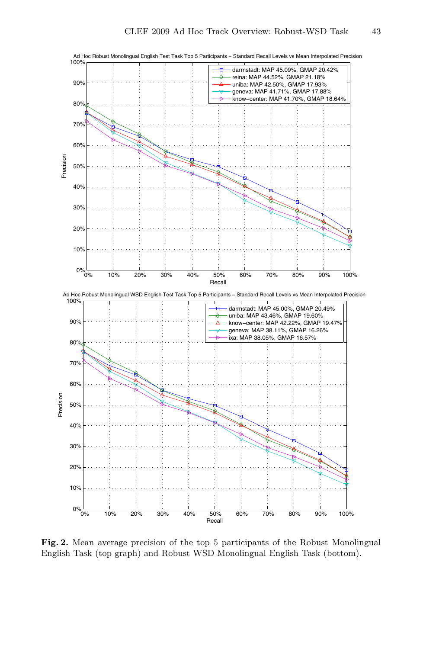

<span id="page-7-0"></span>**Fig. 2.** Mean average precision of the top 5 participants of the Robust Monolingual English Task (top graph) and Robust WSD Monolingual English Task (bottom).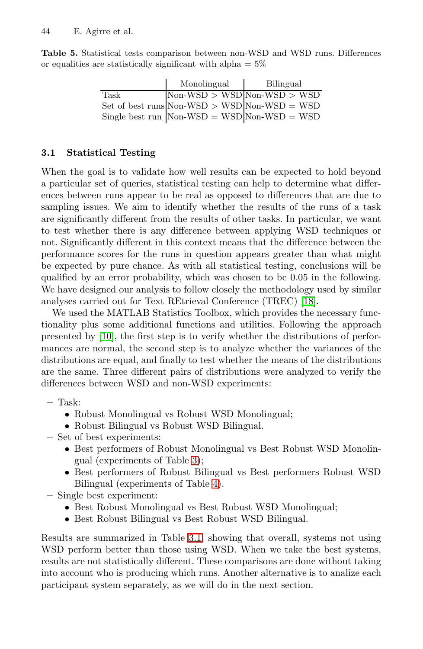<span id="page-8-0"></span>**Table 5.** Statistical tests comparison between non-WSD and WSD runs. Differences or equalities are statistically significant with alpha  $= 5\%$ 

| Monolingual                                                                                                                        | Bilingual                                   |
|------------------------------------------------------------------------------------------------------------------------------------|---------------------------------------------|
|                                                                                                                                    |                                             |
| $\begin{tabular}{l c c} Task & Non-WSD > WSD & Non-WSD > WSD \\ Set of best runs & Non-WSD > WSD & Non-WSD = WSD \\ \end{tabular}$ |                                             |
|                                                                                                                                    | Single best run Non-WSD = WSD Non-WSD = WSD |

### **3.1 Statistical Testing**

When the goal is to validate how well results can be expected to hold beyond a particular set of queries, statistical testing can help to determine what differences between runs appear to be real as opposed to differences that are due to sampling issues. We aim to identify whe[ther](#page-13-1) the results of the runs of a task are significantly different from the results of other tasks. In particular, we want to test whether there is any difference between applying WSD techniques or not. Significantly different in this context means that the difference between the performance scores for the runs in question appears greater than what might be expected by pure chance. As with all statistical testing, conclusions will be qualified by an error probability, which was chosen to be 0.05 in the following. We have designed our analysis to follow closely the methodology used by similar analyses carried out for Text REtrieval Conference (TREC) [18].

We used the MATLAB Statistics Toolbox, which provides the necessary functionality plus some additional functions and utilities. Following the approach presented by [10], the first step is to verify whether the distributions of performances are normal, the second step is to analyze whether the variances of the distributions are equal, and finally to test whether the means of the distributions are the same. T[hr](#page-6-1)ee different pairs of distributions were analyzed to verify the differences between WSD and non-WSD experiments:

#### **–** Task:

- Robust Monolingual vs Robust WSD Monolingual;
- Robust Bilingual vs Robust WSD Bilingual.
- **–** Set of best experiments:
	- Best p[erfor](#page-8-0)mers of Robust Monolingual vs Best Robust WSD Monolingual (experiments of Table 3);
	- Best performers of Robust Bilingual vs Best performers Robust WSD Bilingual (experiments of Table 4).
- **–** Single best experiment:
	- Best Robust Monolingual vs Best Robust WSD Monolingual;
	- Best Robust Bilingual vs Best Robust WSD Bilingual.

Results are summarized in Table 3.1, showing that overall, systems not using WSD perform better than those using WSD. When we take the best systems, results are not statistically different. These comparisons are done without taking into account who is producing which runs. Another alternative is to analize each participant system separately, as we will do in the next section.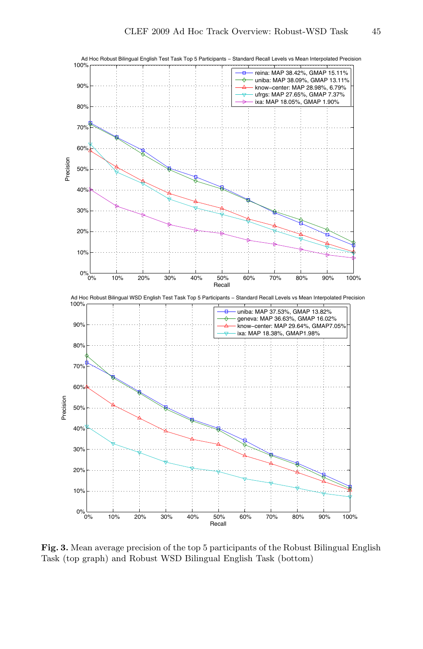

**Fig. 3.** Mean average precision of the top 5 participants of the Robust Bilingual English Task (top graph) and Robust WSD Bilingual English Task (bottom)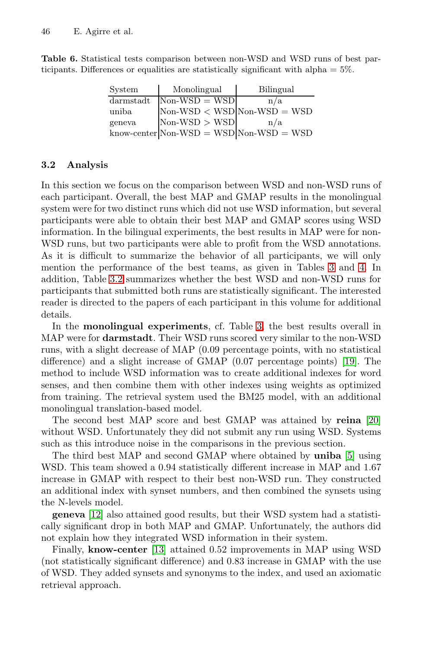<span id="page-10-0"></span>**Table 6.** Statistical tests comparison between non-WSD and WSD runs of best participants. Differences or equalities are statistically significant with alpha = 5%.

| System    | Monolingual                             | Bilingual                                                                                                                                                           |
|-----------|-----------------------------------------|---------------------------------------------------------------------------------------------------------------------------------------------------------------------|
| darmstadt | $Non-WSD = WSD$                         | n/a                                                                                                                                                                 |
| uniba     |                                         | $\begin{aligned} \begin{aligned} \text{Non-WSD} < \text{WSD} \end{aligned} \begin{aligned} \begin{aligned} \text{Non-WSD} = \text{WSD} \end{aligned} \end{aligned}$ |
| geneva    | $Non-WSD > WSD$                         | n/a                                                                                                                                                                 |
|           | know-center Non-WSD = WSD Non-WSD = WSD |                                                                                                                                                                     |

#### **3.2 Analysis**

[I](#page-10-0)n this section we focus on the comparison betw[een](#page-6-1) WS[D](#page-6-0) and non-WSD runs of each participant. Overall, the best MAP and GMAP results in the monolingual system were for two distinct runs which did not use WSD information, but several participants were able to obtain their best MAP and GMAP scores using WSD information. In the bilingual ex[pe](#page-6-1)riments, the best results in MAP were for non-WSD runs, but two participants were able to profit from the WSD annotations. As it is difficult to summarize the behavior of all participants, we will only mention the performance of the best teams, as g[iven](#page-13-6) in Tables 3 and 4. In addition, Table 3.2 summarizes whether the best WSD and non-WSD runs for participants that submitted both runs are statistically significant. The interested reader is directed to the papers of each participant in this volume for additional details.

In the **monolingual experiments**, cf. Table 3, the [bes](#page-13-7)t results overall in MAP were for **darmstadt**. Their WSD runs scored very similar to the non-WSD runs, with a slight decrease of MAP (0.09 percentage points, with no statistical difference) and a slight increase of GMAP (0.07 p[erc](#page-12-4)entage points) [19]. The method to include WSD information was to create additional indexes for word senses, and then combine them with other indexes using weights as optimized from training. The retrieval system used the BM25 model, with an additional monolingual translation-based model.

The second best MAP score and best GMAP was attained by **reina** [20] without WSD. Unfortunately they did not submit any run using WSD. Systems such as this introduce noise in the comparisons in the previous section.

The [thi](#page-13-8)rd best MAP and second GMAP where obtained by **uniba** [5] using WSD. This team showed a 0.94 statistically different increase in MAP and 1.67 increase in GMAP with respect to their best non-WSD run. They constructed an additional index with synset numbers, and then combined the synsets using the N-levels model.

**geneva** [12] also attained good results, but their WSD system had a statistically significant drop in both MAP and GMAP. Unfortunately, the authors did not explain how they integrated WSD information in their system.

Finally, **know-center** [13] attained 0.52 improvements in MAP using WSD (not statistically significant difference) and 0.83 increase in GMAP with the use of WSD. They added synsets and synonyms to the index, and used an axiomatic retrieval approach.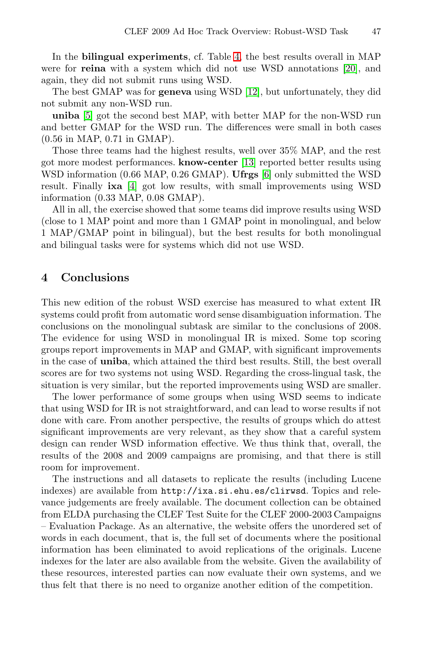In the **bilingual experiments**, cf. Table 4, the best results overall in MAP were for **reina** with a syst[em](#page-13-8) which did not use WSD annotations [20], and again, they did not submit runs [us](#page-12-5)ing WSD.

[T](#page-12-6)he best GMAP was for **geneva** using WSD [12], but unfortunately, they did not submit any non-WSD run.

**uniba** [5] got the second best MAP, with better MAP for the non-WSD run and better GMAP for the WSD run. The differences were small in both cases (0.56 in MAP, 0.71 in GMAP).

Those three teams had the highest results, well over 35% MAP, and the rest got more modest performances. **know-center** [13] reported better results using WSD information (0.66 MAP, 0.26 GMAP). **Ufrgs** [6] only submitted the WSD result. Finally **ixa** [4] got low results, with small improvements using WSD information (0.33 MAP, 0.08 GMAP).

All in all, the exercise showed that some teams did improve results using WSD (close to 1 MAP point and more than 1 GMAP point in monolingual, and below 1 MAP/GMAP point in bilingual), but the best results for both monolingual and bilingual tasks were for systems which did not use WSD.

### **4 Conclusions**

This new edition of the robust WSD exercise has measured to what extent IR systems could profit from automatic word sense disambiguation information. The conclusions on the monolingual subtask are similar to the conclusions of 2008. The evidence for using WSD in monolingual IR is mixed. Some top scoring groups report improvements in MAP and GMAP, with significant improvements in the case of **uniba**, which attained the third best results. Still, the best overall scores are for two systems not using WSD. Regarding the cross-lingual task, the situation is very similar, but the reported improvements using WSD are smaller.

The lower performance of some groups when using WSD seems to indicate that using WSD for IR is not straightforward, and can lead to worse results if not done with care. From another perspective, the results of groups which do attest significant improvements are very relevant, as they show that a careful system design can render WSD information effective. We thus think that, overall, the results of the 2008 and 2009 campaigns are promising, and that there is still room for improvement.

The instructions and all datasets to replicate the results (including Lucene indexes) are available from http://ixa.si.ehu.es/clirwsd. Topics and relevance judgements are freely available. The document collection can be obtained from ELDA purchasing the CLEF Test Suite for the CLEF 2000-2003 Campaigns – Evaluation Package. As an alternative, the website offers the unordered set of words in each document, that is, the full set of documents where the positional information has been eliminated to avoid replications of the originals. Lucene indexes for the later are also available from the website. Given the availability of these resources, interested parties can now evaluate their own systems, and we thus felt that there is no need to organize another edition of the competition.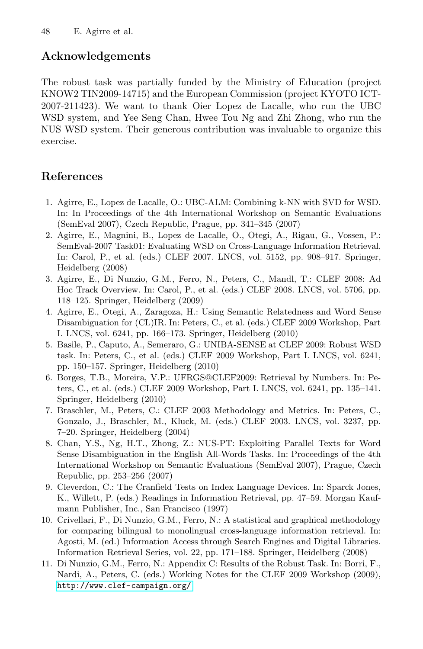## **Acknowledgements**

<span id="page-12-0"></span>The robust task was partially funded by the Ministry of Education (project KNOW2 TIN2009-14715) and the European Commission (project KYOTO ICT-2007-211423). We want to thank Oier Lopez de Lacalle, who run the UBC WSD system, and Yee Seng Chan, Hwee Tou Ng and Zhi Zhong, who run the NUS WSD system. Their generous contribution was invaluable to organize this exercise.

## **References**

- <span id="page-12-6"></span>1. Agirre, E., Lopez de Lacalle, O.: UBC-ALM: Combining k-NN with SVD for WSD. In: In Proceedings of the 4th International Workshop on Semantic Evaluations (SemEval 2007), Czech Republic, Prague, pp. 341–345 (2007)
- <span id="page-12-4"></span>2. Agirre, E., Magnini, B., Lopez de Lacalle, O., Otegi, A., Rigau, G., Vossen, P.: SemEval-2007 Task01: Evaluating WSD on Cross-Language Information Retrieval. In: Carol, P., et al. (eds.) CLEF 2007. LNCS, vol. 5152, pp. 908–917. Springer, Heidelberg (2008)
- <span id="page-12-5"></span>3. Agirre, E., Di Nunzio, G.M., Ferro, N., Peters, C., Mandl, T.: CLEF 2008: Ad Hoc Track Overview. In: Carol, P., et al. (eds.) CLEF 2008. LNCS, vol. 5706, pp. 118–125. Springer, Heidelberg (2009)
- <span id="page-12-2"></span>4. Agirre, E., Otegi, A., Zaragoza, H.: Using Semantic Relatedness and Word Sense Disambiguation for (CL)IR. In: Peters, C., et al. (eds.) CLEF 2009 Workshop, Part I. LNCS, vol. 6241, pp. 166–173. Springer, Heidelberg (2010)
- <span id="page-12-1"></span>5. Basile, P., Caputo, A., Semeraro, G.: UNIBA-SENSE at CLEF 2009: Robust WSD task. In: Peters, C., et al. (eds.) CLEF 2009 Workshop, Part I. LNCS, vol. 6241, pp. 150–157. Springer, Heidelberg (2010)
- 6. Borges, T.B., Moreira, V.P.: UFRGS@CLEF2009: Retrieval by Numbers. In: Peters, C., et al. (eds.) CLEF 2009 Workshop, Part I. LNCS, vol. 6241, pp. 135–141. Springer, Heidelberg (2010)
- 7. Braschler, M., Peters, C.: CLEF 2003 Methodology and Metrics. In: Peters, C., Gonzalo, J., Braschler, M., Kluck, M. (eds.) CLEF 2003. LNCS, vol. 3237, pp. 7–20. Springer, Heidelberg (2004)
- 8. Chan, Y.S., Ng, H.T., Zhong, Z.: NUS-PT: Exploiting Parallel Texts for Word Sense Disambiguation in the English All-Words Tasks. In: Proceedings of the 4th International Workshop on Semantic Evaluations (SemEval 2007), Prague, Czech Republic, pp. 253–256 (2007)
- <span id="page-12-3"></span>9. Cleverdon, C.: The Cranfield Tests on Index Language Devices. In: Sparck Jones, [K., Willett, P.](http://www.clef-campaign.org/) (eds.) Readings in Information Retrieval, pp. 47–59. Morgan Kaufmann Publisher, Inc., San Francisco (1997)
- 10. Crivellari, F., Di Nunzio, G.M., Ferro, N.: A statistical and graphical methodology for comparing bilingual to monolingual cross-language information retrieval. In: Agosti, M. (ed.) Information Access through Search Engines and Digital Libraries. Information Retrieval Series, vol. 22, pp. 171–188. Springer, Heidelberg (2008)
- 11. Di Nunzio, G.M., Ferro, N.: Appendix C: Results of the Robust Task. In: Borri, F., Nardi, A., Peters, C. (eds.) Working Notes for the CLEF 2009 Workshop (2009), http://www.clef-campaign.org/